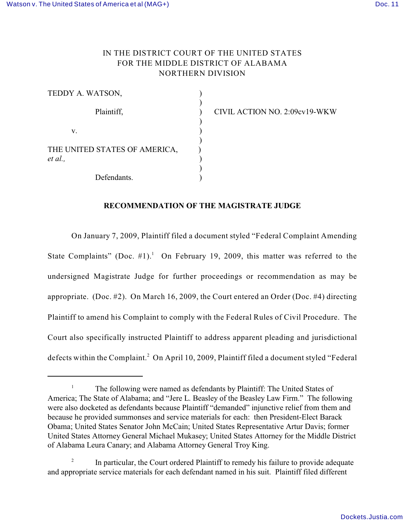## IN THE DISTRICT COURT OF THE UNITED STATES FOR THE MIDDLE DISTRICT OF ALABAMA NORTHERN DIVISION

| TEDDY A. WATSON,                         |  |
|------------------------------------------|--|
| Plaintiff,                               |  |
| v.                                       |  |
| THE UNITED STATES OF AMERICA,<br>et al., |  |
| Defendants.                              |  |

Plaintiff, ) CIVIL ACTION NO. 2:09cv19-WKW

## **RECOMMENDATION OF THE MAGISTRATE JUDGE**

On January 7, 2009, Plaintiff filed a document styled "Federal Complaint Amending State Complaints" (Doc.  $\#1$ ).<sup>1</sup> On February 19, 2009, this matter was referred to the undersigned Magistrate Judge for further proceedings or recommendation as may be appropriate. (Doc. #2). On March 16, 2009, the Court entered an Order (Doc. #4) directing Plaintiff to amend his Complaint to comply with the Federal Rules of Civil Procedure. The Court also specifically instructed Plaintiff to address apparent pleading and jurisdictional defects within the Complaint.<sup>2</sup> On April 10, 2009, Plaintiff filed a document styled "Federal

 $\frac{1}{1}$  The following were named as defendants by Plaintiff: The United States of America; The State of Alabama; and "Jere L. Beasley of the Beasley Law Firm." The following were also docketed as defendants because Plaintiff "demanded" injunctive relief from them and because he provided summonses and service materials for each: then President-Elect Barack Obama; United States Senator John McCain; United States Representative Artur Davis; former United States Attorney General Michael Mukasey; United States Attorney for the Middle District of Alabama Leura Canary; and Alabama Attorney General Troy King.

 $\mu$ <sup>2</sup> In particular, the Court ordered Plaintiff to remedy his failure to provide adequate and appropriate service materials for each defendant named in his suit. Plaintiff filed different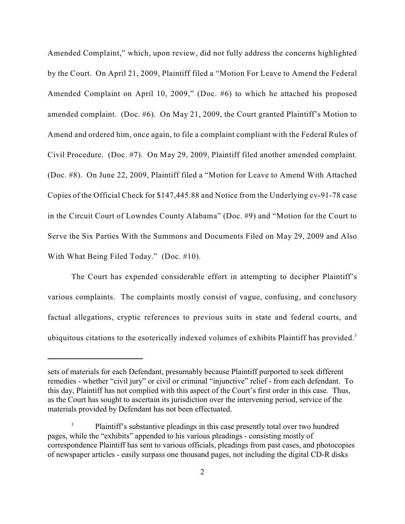Amended Complaint," which, upon review, did not fully address the concerns highlighted by the Court. On April 21, 2009, Plaintiff filed a "Motion For Leave to Amend the Federal Amended Complaint on April 10, 2009," (Doc. #6) to which he attached his proposed amended complaint. (Doc. #6). On May 21, 2009, the Court granted Plaintiff's Motion to Amend and ordered him, once again, to file a complaint compliant with the Federal Rules of Civil Procedure. (Doc. #7). On May 29, 2009, Plaintiff filed another amended complaint. (Doc. #8). On June 22, 2009, Plaintiff filed a "Motion for Leave to Amend With Attached Copies of the Official Check for \$147,445.88 and Notice from the Underlying cv-91-78 case in the Circuit Court of Lowndes County Alabama" (Doc. #9) and "Motion for the Court to Serve the Six Parties With the Summons and Documents Filed on May 29, 2009 and Also With What Being Filed Today." (Doc. #10).

The Court has expended considerable effort in attempting to decipher Plaintiff's various complaints. The complaints mostly consist of vague, confusing, and conclusory factual allegations, cryptic references to previous suits in state and federal courts, and ubiquitous citations to the esoterically indexed volumes of exhibits Plaintiff has provided.<sup>3</sup>

sets of materials for each Defendant, presumably because Plaintiff purported to seek different remedies - whether "civil jury" or civil or criminal "injunctive" relief - from each defendant. To this day, Plaintiff has not complied with this aspect of the Court's first order in this case. Thus, as the Court has sought to ascertain its jurisdiction over the intervening period, service of the materials provided by Defendant has not been effectuated.

Plaintiff's substantive pleadings in this case presently total over two hundred 3 pages, while the "exhibits" appended to his various pleadings - consisting mostly of correspondence Plaintiff has sent to various officials, pleadings from past cases, and photocopies of newspaper articles - easily surpass one thousand pages, not including the digital CD-R disks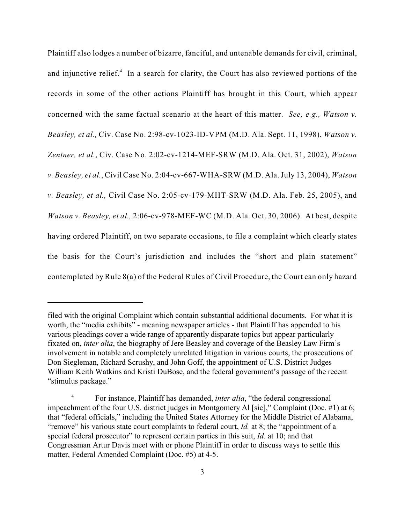Plaintiff also lodges a number of bizarre, fanciful, and untenable demands for civil, criminal, and injunctive relief. $4$  In a search for clarity, the Court has also reviewed portions of the records in some of the other actions Plaintiff has brought in this Court, which appear concerned with the same factual scenario at the heart of this matter. *See, e.g., Watson v. Beasley, et al.,* Civ. Case No. 2:98-cv-1023-ID-VPM (M.D. Ala. Sept. 11, 1998), *Watson v. Zentner, et al.*, Civ. Case No. 2:02-cv-1214-MEF-SRW (M.D. Ala. Oct. 31, 2002), *Watson v. Beasley, et al.*, Civil Case No. 2:04-cv-667-WHA-SRW (M.D. Ala. July 13, 2004), *Watson v. Beasley, et al.,* Civil Case No. 2:05-cv-179-MHT-SRW (M.D. Ala. Feb. 25, 2005), and *Watson v. Beasley, et al.,* 2:06-cv-978-MEF-WC (M.D. Ala. Oct. 30, 2006). At best, despite having ordered Plaintiff, on two separate occasions, to file a complaint which clearly states the basis for the Court's jurisdiction and includes the "short and plain statement" contemplated by Rule 8(a) of the Federal Rules of Civil Procedure, the Court can only hazard

filed with the original Complaint which contain substantial additional documents. For what it is worth, the "media exhibits" - meaning newspaper articles - that Plaintiff has appended to his various pleadings cover a wide range of apparently disparate topics but appear particularly fixated on, *inter alia*, the biography of Jere Beasley and coverage of the Beasley Law Firm's involvement in notable and completely unrelated litigation in various courts, the prosecutions of Don Siegleman, Richard Scrushy, and John Goff, the appointment of U.S. District Judges William Keith Watkins and Kristi DuBose, and the federal government's passage of the recent "stimulus package."

<sup>&</sup>lt;sup>4</sup> For instance, Plaintiff has demanded, *inter alia*, "the federal congressional impeachment of the four U.S. district judges in Montgomery Al [sic]," Complaint (Doc. #1) at 6; that "federal officials," including the United States Attorney for the Middle District of Alabama, "remove" his various state court complaints to federal court, *Id.* at 8; the "appointment of a special federal prosecutor" to represent certain parties in this suit, *Id.* at 10; and that Congressman Artur Davis meet with or phone Plaintiff in order to discuss ways to settle this matter, Federal Amended Complaint (Doc. #5) at 4-5.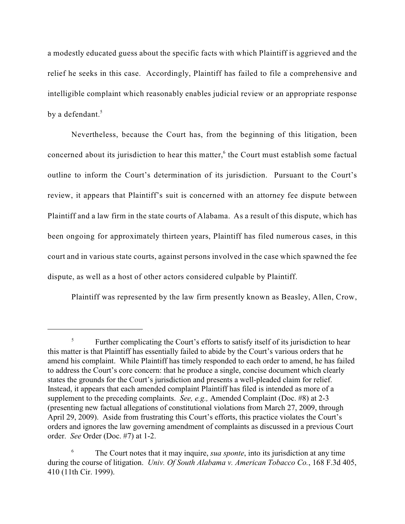a modestly educated guess about the specific facts with which Plaintiff is aggrieved and the relief he seeks in this case. Accordingly, Plaintiff has failed to file a comprehensive and intelligible complaint which reasonably enables judicial review or an appropriate response by a defendant.<sup>5</sup>

Nevertheless, because the Court has, from the beginning of this litigation, been concerned about its jurisdiction to hear this matter, $<sup>6</sup>$  the Court must establish some factual</sup> outline to inform the Court's determination of its jurisdiction. Pursuant to the Court's review, it appears that Plaintiff's suit is concerned with an attorney fee dispute between Plaintiff and a law firm in the state courts of Alabama. As a result of this dispute, which has been ongoing for approximately thirteen years, Plaintiff has filed numerous cases, in this court and in various state courts, against persons involved in the case which spawned the fee dispute, as well as a host of other actors considered culpable by Plaintiff.

Plaintiff was represented by the law firm presently known as Beasley, Allen, Crow,

<sup>&</sup>lt;sup>5</sup> Further complicating the Court's efforts to satisfy itself of its jurisdiction to hear this matter is that Plaintiff has essentially failed to abide by the Court's various orders that he amend his complaint. While Plaintiff has timely responded to each order to amend, he has failed to address the Court's core concern: that he produce a single, concise document which clearly states the grounds for the Court's jurisdiction and presents a well-pleaded claim for relief. Instead, it appears that each amended complaint Plaintiff has filed is intended as more of a supplement to the preceding complaints. *See, e.g.,* Amended Complaint (Doc. #8) at 2-3 (presenting new factual allegations of constitutional violations from March 27, 2009, through April 29, 2009). Aside from frustrating this Court's efforts, this practice violates the Court's orders and ignores the law governing amendment of complaints as discussed in a previous Court order. *See* Order (Doc. #7) at 1-2.

The Court notes that it may inquire, *sua sponte*, into its jurisdiction at any time 6 during the course of litigation. *Univ. Of South Alabama v. American Tobacco Co.*, 168 F.3d 405, 410 (11th Cir. 1999).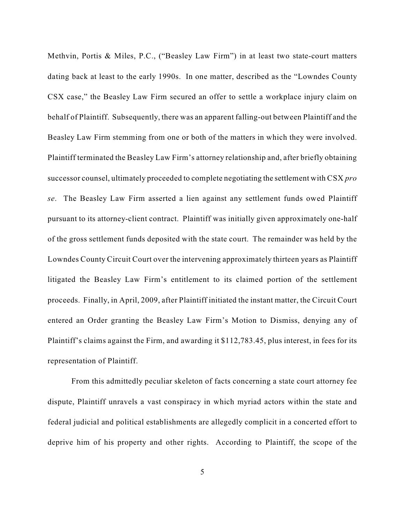Methvin, Portis & Miles, P.C., ("Beasley Law Firm") in at least two state-court matters dating back at least to the early 1990s. In one matter, described as the "Lowndes County CSX case," the Beasley Law Firm secured an offer to settle a workplace injury claim on behalf of Plaintiff. Subsequently, there was an apparent falling-out between Plaintiff and the Beasley Law Firm stemming from one or both of the matters in which they were involved. Plaintiff terminated the Beasley Law Firm's attorney relationship and, after briefly obtaining successor counsel, ultimately proceeded to complete negotiating the settlement with CSX *pro se*. The Beasley Law Firm asserted a lien against any settlement funds owed Plaintiff pursuant to its attorney-client contract. Plaintiff was initially given approximately one-half of the gross settlement funds deposited with the state court. The remainder was held by the Lowndes County Circuit Court over the intervening approximately thirteen years as Plaintiff litigated the Beasley Law Firm's entitlement to its claimed portion of the settlement proceeds. Finally, in April, 2009, after Plaintiff initiated the instant matter, the Circuit Court entered an Order granting the Beasley Law Firm's Motion to Dismiss, denying any of Plaintiff's claims against the Firm, and awarding it \$112,783.45, plus interest, in fees for its representation of Plaintiff.

From this admittedly peculiar skeleton of facts concerning a state court attorney fee dispute, Plaintiff unravels a vast conspiracy in which myriad actors within the state and federal judicial and political establishments are allegedly complicit in a concerted effort to deprive him of his property and other rights. According to Plaintiff, the scope of the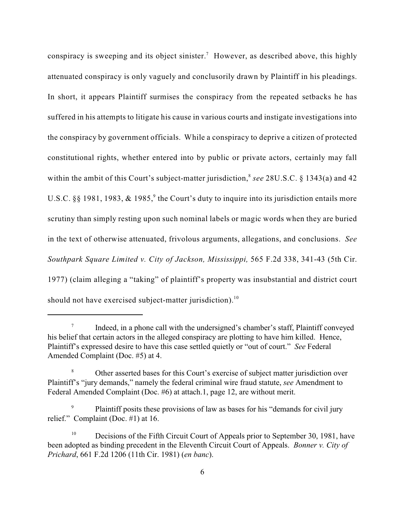conspiracy is sweeping and its object sinister.<sup>7</sup> However, as described above, this highly attenuated conspiracy is only vaguely and conclusorily drawn by Plaintiff in his pleadings. In short, it appears Plaintiff surmises the conspiracy from the repeated setbacks he has suffered in his attempts to litigate his cause in various courts and instigate investigations into the conspiracy by government officials. While a conspiracy to deprive a citizen of protected constitutional rights, whether entered into by public or private actors, certainly may fall within the ambit of this Court's subject-matter jurisdiction,<sup>8</sup> see 28U.S.C. § 1343(a) and 42 U.S.C. §§ 1981, 1983,  $\&$  1985,<sup>9</sup> the Court's duty to inquire into its jurisdiction entails more scrutiny than simply resting upon such nominal labels or magic words when they are buried in the text of otherwise attenuated, frivolous arguments, allegations, and conclusions. *See Southpark Square Limited v. City of Jackson, Mississippi,* 565 F.2d 338, 341-43 (5th Cir. 1977) (claim alleging a "taking" of plaintiff's property was insubstantial and district court should not have exercised subject-matter jurisdiction).<sup>10</sup>

Indeed, in a phone call with the undersigned's chamber's staff, Plaintiff conveyed his belief that certain actors in the alleged conspiracy are plotting to have him killed. Hence, Plaintiff's expressed desire to have this case settled quietly or "out of court." *See* Federal Amended Complaint (Doc. #5) at 4.

Other asserted bases for this Court's exercise of subject matter jurisdiction over <sup>8</sup> Plaintiff's "jury demands," namely the federal criminal wire fraud statute, *see* Amendment to Federal Amended Complaint (Doc. #6) at attach.1, page 12, are without merit.

<sup>&</sup>lt;sup>9</sup> Plaintiff posits these provisions of law as bases for his "demands for civil jury relief." Complaint (Doc. #1) at 16.

 $10$  Decisions of the Fifth Circuit Court of Appeals prior to September 30, 1981, have been adopted as binding precedent in the Eleventh Circuit Court of Appeals. *Bonner v. City of Prichard*, 661 F.2d 1206 (11th Cir. 1981) (*en banc*).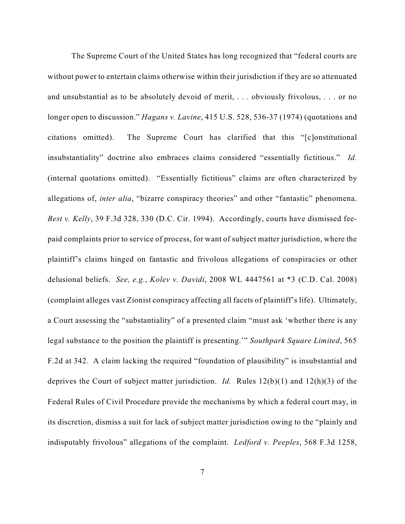The Supreme Court of the United States has long recognized that "federal courts are without power to entertain claims otherwise within their jurisdiction if they are so attenuated and unsubstantial as to be absolutely devoid of merit, . . . obviously frivolous, . . . or no longer open to discussion." *Hagans v. Lavine*, 415 U.S. 528, 536-37 (1974) (quotations and citations omitted). The Supreme Court has clarified that this "[c]onstitutional insubstantiality" doctrine also embraces claims considered "essentially fictitious." *Id.* (internal quotations omitted). "Essentially fictitious" claims are often characterized by allegations of, *inter alia*, "bizarre conspiracy theories" and other "fantastic" phenomena. *Best v. Kelly*, 39 F.3d 328, 330 (D.C. Cir. 1994). Accordingly, courts have dismissed feepaid complaints prior to service of process, for want of subject matter jurisdiction, where the plaintiff's claims hinged on fantastic and frivolous allegations of conspiracies or other delusional beliefs. *See, e.g.*, *Kolev v. Davidi*, 2008 WL 4447561 at \*3 (C.D. Cal. 2008) (complaint alleges vast Zionist conspiracy affecting all facets of plaintiff's life). Ultimately, a Court assessing the "substantiality" of a presented claim "must ask 'whether there is any legal substance to the position the plaintiff is presenting.'" *Southpark Square Limited*, 565 F.2d at 342. A claim lacking the required "foundation of plausibility" is insubstantial and deprives the Court of subject matter jurisdiction. *Id.* Rules 12(b)(1) and 12(h)(3) of the Federal Rules of Civil Procedure provide the mechanisms by which a federal court may, in its discretion, dismiss a suit for lack of subject matter jurisdiction owing to the "plainly and indisputably frivolous" allegations of the complaint. *Ledford v. Peeples*, 568 F.3d 1258,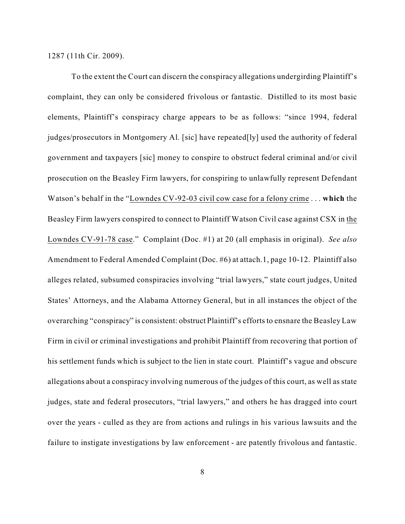1287 (11th Cir. 2009).

To the extent the Court can discern the conspiracy allegations undergirding Plaintiff's complaint, they can only be considered frivolous or fantastic. Distilled to its most basic elements, Plaintiff's conspiracy charge appears to be as follows: "since 1994, federal judges/prosecutors in Montgomery Al. [sic] have repeated[ly] used the authority of federal government and taxpayers [sic] money to conspire to obstruct federal criminal and/or civil prosecution on the Beasley Firm lawyers, for conspiring to unlawfully represent Defendant Watson's behalf in the "Lowndes CV-92-03 civil cow case for a felony crime . . . **which** the Beasley Firm lawyers conspired to connect to Plaintiff Watson Civil case against CSX in the Lowndes CV-91-78 case." Complaint (Doc. #1) at 20 (all emphasis in original). *See also* Amendment to Federal Amended Complaint (Doc. #6) at attach.1, page 10-12. Plaintiff also alleges related, subsumed conspiracies involving "trial lawyers," state court judges, United States' Attorneys, and the Alabama Attorney General, but in all instances the object of the overarching "conspiracy" is consistent: obstruct Plaintiff's efforts to ensnare the Beasley Law Firm in civil or criminal investigations and prohibit Plaintiff from recovering that portion of his settlement funds which is subject to the lien in state court. Plaintiff's vague and obscure allegations about a conspiracy involving numerous of the judges of this court, as well as state judges, state and federal prosecutors, "trial lawyers," and others he has dragged into court over the years - culled as they are from actions and rulings in his various lawsuits and the failure to instigate investigations by law enforcement - are patently frivolous and fantastic.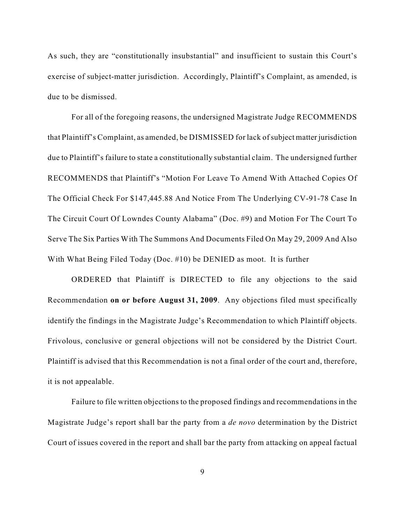As such, they are "constitutionally insubstantial" and insufficient to sustain this Court's exercise of subject-matter jurisdiction. Accordingly, Plaintiff's Complaint, as amended, is due to be dismissed.

For all of the foregoing reasons, the undersigned Magistrate Judge RECOMMENDS that Plaintiff's Complaint, as amended, be DISMISSED for lack of subject matter jurisdiction due to Plaintiff's failure to state a constitutionally substantial claim. The undersigned further RECOMMENDS that Plaintiff's "Motion For Leave To Amend With Attached Copies Of The Official Check For \$147,445.88 And Notice From The Underlying CV-91-78 Case In The Circuit Court Of Lowndes County Alabama" (Doc. #9) and Motion For The Court To Serve The Six Parties With The Summons And Documents Filed On May 29, 2009 And Also With What Being Filed Today (Doc. #10) be DENIED as moot. It is further

ORDERED that Plaintiff is DIRECTED to file any objections to the said Recommendation **on or before August 31, 2009**. Any objections filed must specifically identify the findings in the Magistrate Judge's Recommendation to which Plaintiff objects. Frivolous, conclusive or general objections will not be considered by the District Court. Plaintiff is advised that this Recommendation is not a final order of the court and, therefore, it is not appealable.

Failure to file written objections to the proposed findings and recommendations in the Magistrate Judge's report shall bar the party from a *de novo* determination by the District Court of issues covered in the report and shall bar the party from attacking on appeal factual